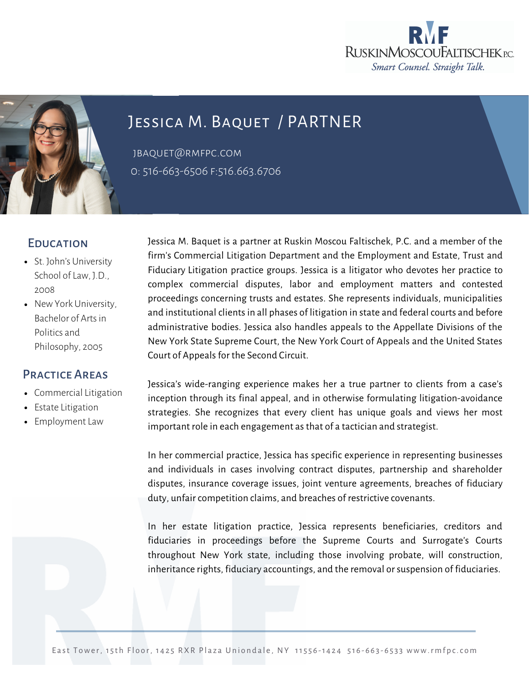



# Jessica M. Baquet / PARTNER

jbaquet@rmfpc.com 0: 516-663-6506 f:516.663.6706

## **EDUCATION**

- St. John's University School of Law, J.D., 2008
- New York University, Bachelor of Arts in Politics and Philosophy, 2005

### Practice Areas

- [Commercial](https://rmfpc.com/practice-areas/cybersecurity/) Litigation
- Estate Litigation
- Employment Law

Jessica M. Baquet is a partner at Ruskin Moscou Faltischek, P.C. and a member of the firm's Commercial Litigation Department and the [Employment](https://rmfpc.com/practice-areas/estate-litigation/) and Estate, Trust and Fiduciary Litigation practice groups. Jessica is a litigator who devotes her practice to complex commercial disputes, labor and employment matters and contested proceedings concerning trusts and estates. She represents individuals, municipalities and institutional clients in all phases of litigation in state and federal courts and before administrative bodies. Jessica also handles appeals to the Appellate Divisions of the New York State Supreme Court, the New York Court of Appeals and the United States Court of Appeals for the Second Circuit.

Jessica's wide-ranging experience makes her a true partner to clients from a case's inception through its final appeal, and in otherwise formulating litigation-avoidance strategies. She recognizes that every client has unique goals and views her most important role in each engagement as that of a tactician and strategist.

In her commercial practice, Jessica has specific experience in representing businesses and individuals in cases involving contract disputes, partnership and shareholder disputes, insurance coverage issues, joint venture agreements, breaches of fiduciary duty, unfair competition claims, and breaches of restrictive covenants.

In her estate litigation practice, Jessica represents beneficiaries, creditors and fiduciaries in proceedings before the Supreme Courts and Surrogate's Courts throughout New York state, including those involving probate, will construction, inheritance rights, fiduciary accountings, and the removal orsuspension of fiduciaries.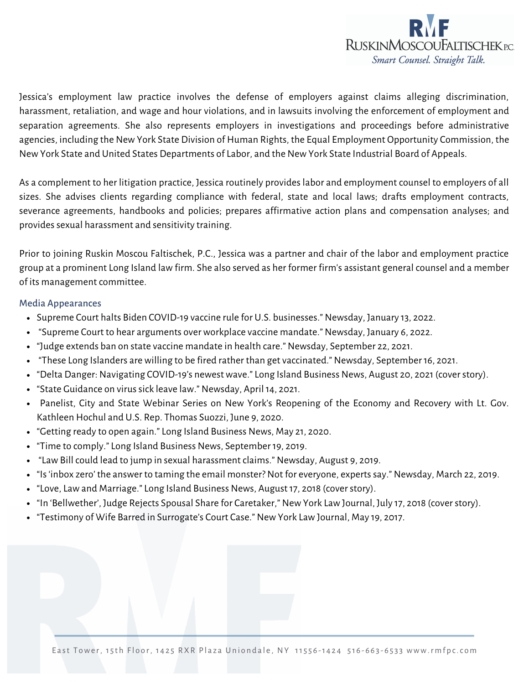

Jessica's employment law practice involves the defense of employers against claims alleging discrimination, harassment, retaliation, and wage and hour violations, and in lawsuits involving the enforcement of employment and separation agreements. She also represents employers in investigations and proceedings before administrative agencies, including the New York State Division of Human Rights, the Equal Employment Opportunity Commission, the New York State and United States Departments of Labor, and the New York State Industrial Board of Appeals.

As a complement to her litigation practice, Jessica routinely provides labor and employment counsel to employers of all sizes. She advises clients regarding compliance with federal, state and local laws; drafts employment contracts, severance agreements, handbooks and policies; prepares affirmative action plans and compensation analyses; and provides sexual harassment and sensitivity training.

Prior to joining Ruskin Moscou Faltischek, P.C., Jessica was a partner and chair of the labor and employment practice group at a prominent Long Island law firm. She also served as her former firm's assistant general counsel and a member of its management committee.

#### Media Appearances

- Supreme Court halts Biden COVID-19 vaccine rule for U.S. businesses." Newsday, January 13, 2022.
- "Supreme Court to hear arguments over workplace vaccine mandate." Newsday, January 6, 2022.
- "Judge extends ban on state vaccine mandate in health care." Newsday, September 22, 2021.
- "These Long Islanders are willing to be fired rather than get vaccinated." Newsday, September 16, 2021.
- "Delta Danger: Navigating COVID-19's newest wave." Long Island Business News, August 20, 2021 (coverstory).
- "State Guidance on virus sick leave law." Newsday, April 14, 2021.
- Panelist, City and State Webinar Series on New York's Reopening of the Economy and Recovery with Lt. Gov. Kathleen Hochul and U.S. Rep. Thomas Suozzi, June 9, 2020.
- "Getting ready to open again." Long Island Business News, May 21, 2020.
- "Time to comply." Long Island Business News, September 19, 2019.
- "Law Bill could lead to jump in sexual harassment claims." Newsday, August 9, 2019.
- "Is 'inbox zero' the answer to taming the email monster? Not for everyone, experts say." Newsday, March 22, 2019.
- "Love, Law and Marriage." Long Island Business News, August 17, 2018 (coverstory).
- "In 'Bellwether', Judge Rejects Spousal Share for Caretaker," New York Law Journal, July 17, 2018 (cover story).
- "Testimony of Wife Barred in Surrogate's Court Case." New York Law Journal, May 19, 2017.